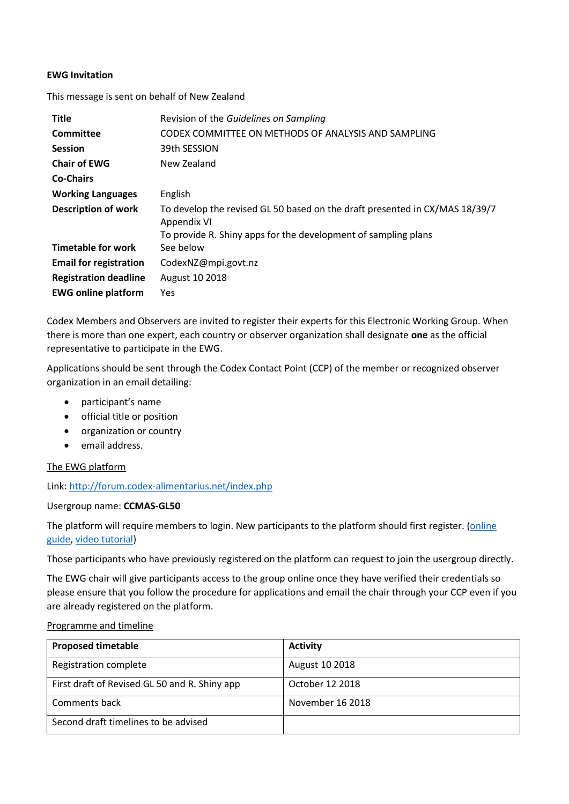## **EWG Invitation**

This message is sent on behalf of New Zealand

| <b>Title</b>                  | Revision of the Guidelines on Sampling                                                     |
|-------------------------------|--------------------------------------------------------------------------------------------|
| <b>Committee</b>              | CODEX COMMITTEE ON METHODS OF ANALYSIS AND SAMPLING                                        |
| <b>Session</b>                | 39th SESSION                                                                               |
| <b>Chair of EWG</b>           | New Zealand                                                                                |
| <b>Co-Chairs</b>              |                                                                                            |
| <b>Working Languages</b>      | English                                                                                    |
| <b>Description of work</b>    | To develop the revised GL 50 based on the draft presented in CX/MAS 18/39/7<br>Appendix VI |
|                               | To provide R. Shiny apps for the development of sampling plans                             |
| <b>Timetable for work</b>     | See below                                                                                  |
| <b>Email for registration</b> | CodexNZ@mpi.govt.nz                                                                        |
| <b>Registration deadline</b>  | August 10 2018                                                                             |
| <b>EWG online platform</b>    | Yes                                                                                        |

Codex Members and Observers are invited to register their experts for this Electronic Working Group. When there is more than one expert, each country or observer organization shall designate **one** as the official representative to participate in the EWG.

Applications should be sent through the Codex Contact Point (CCP) of the member or recognized observer organization in an email detailing:

- participant's name
- official title or position
- organization or country
- email address.

The EWG platform

Link[: http://forum.codex-alimentarius.net/index.php](http://forum.codex-alimentarius.net/index.php)

## Usergroup name: **CCMAS-GL50**

The platform will require members to login. New participants to the platform should first register. (online [guide,](http://forum.codex-alimentarius.net/viewtopic.php?f=13&t=11) [video tutorial\)](https://youtu.be/EJn9k7wNSwk)

Those participants who have previously registered on the platform can request to join the usergroup directly.

The EWG chair will give participants access to the group online once they have verified their credentials so please ensure that you follow the procedure for applications and email the chair through your CCP even if you are already registered on the platform.

## Programme and timeline

| <b>Proposed timetable</b>                     | <b>Activity</b>  |
|-----------------------------------------------|------------------|
| Registration complete                         | August 10 2018   |
| First draft of Revised GL 50 and R. Shiny app | October 12 2018  |
| Comments back                                 | November 16 2018 |
| Second draft timelines to be advised          |                  |